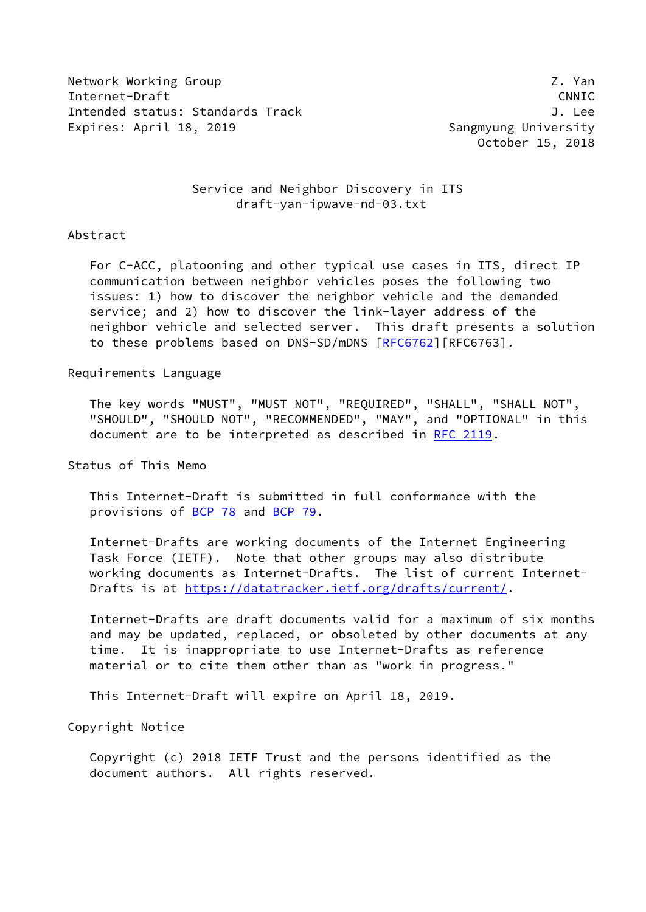Network Working Group 2. The control of the control of the control of the control of the control of the control of the control of the control of the control of the control of the control of the control of the control of th Internet-Draft CNNIC Intended status: Standards Track J. Lee Expires: April 18, 2019 **Sangmyung University** 

October 15, 2018

## Service and Neighbor Discovery in ITS draft-yan-ipwave-nd-03.txt

### Abstract

 For C-ACC, platooning and other typical use cases in ITS, direct IP communication between neighbor vehicles poses the following two issues: 1) how to discover the neighbor vehicle and the demanded service; and 2) how to discover the link-layer address of the neighbor vehicle and selected server. This draft presents a solution to these problems based on DNS-SD/mDNS [\[RFC6762](https://datatracker.ietf.org/doc/pdf/rfc6762)][RFC6763].

Requirements Language

 The key words "MUST", "MUST NOT", "REQUIRED", "SHALL", "SHALL NOT", "SHOULD", "SHOULD NOT", "RECOMMENDED", "MAY", and "OPTIONAL" in this document are to be interpreted as described in [RFC 2119.](https://datatracker.ietf.org/doc/pdf/rfc2119)

Status of This Memo

 This Internet-Draft is submitted in full conformance with the provisions of [BCP 78](https://datatracker.ietf.org/doc/pdf/bcp78) and [BCP 79](https://datatracker.ietf.org/doc/pdf/bcp79).

 Internet-Drafts are working documents of the Internet Engineering Task Force (IETF). Note that other groups may also distribute working documents as Internet-Drafts. The list of current Internet- Drafts is at<https://datatracker.ietf.org/drafts/current/>.

 Internet-Drafts are draft documents valid for a maximum of six months and may be updated, replaced, or obsoleted by other documents at any time. It is inappropriate to use Internet-Drafts as reference material or to cite them other than as "work in progress."

This Internet-Draft will expire on April 18, 2019.

Copyright Notice

 Copyright (c) 2018 IETF Trust and the persons identified as the document authors. All rights reserved.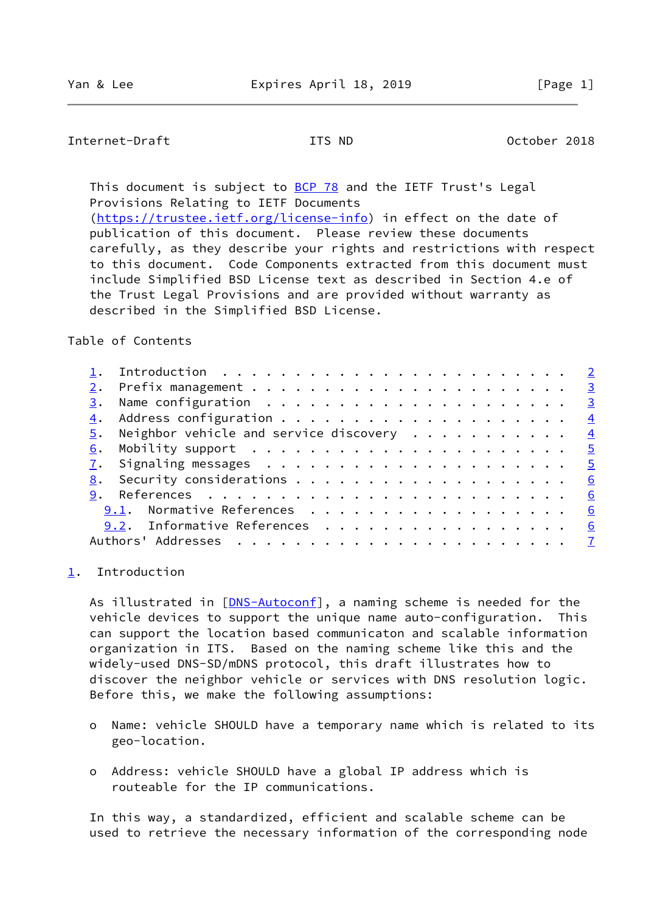# <span id="page-1-1"></span>Internet-Draft ITS ND October 2018

This document is subject to [BCP 78](https://datatracker.ietf.org/doc/pdf/bcp78) and the IETF Trust's Legal Provisions Relating to IETF Documents [\(https://trustee.ietf.org/license-info](https://trustee.ietf.org/license-info)) in effect on the date of

 publication of this document. Please review these documents carefully, as they describe your rights and restrictions with respect to this document. Code Components extracted from this document must include Simplified BSD License text as described in Section 4.e of the Trust Legal Provisions and are provided without warranty as described in the Simplified BSD License.

# Table of Contents

|    |                                                                                                                               | $\overline{\phantom{0}}$ 3 |
|----|-------------------------------------------------------------------------------------------------------------------------------|----------------------------|
| 3. |                                                                                                                               | $\overline{\mathbf{3}}$    |
|    |                                                                                                                               | $\frac{4}{1}$              |
|    | $\frac{5}{2}$ . Neighbor vehicle and service discovery 4                                                                      |                            |
| 6. | Mobility support $\ldots \ldots \ldots \ldots \ldots \ldots \ldots \frac{5}{2}$                                               |                            |
|    |                                                                                                                               |                            |
| 8. | Security considerations $\cdots$ 6                                                                                            |                            |
|    |                                                                                                                               | 6                          |
|    | 9.1. Normative References                                                                                                     | 6                          |
|    | 9.2. Informative References $\cdot \cdot \cdot \cdot \cdot \cdot \cdot \cdot \cdot \cdot \cdot \cdot \cdot \cdot \cdot \cdot$ | 6                          |
|    |                                                                                                                               |                            |
|    |                                                                                                                               |                            |

### <span id="page-1-0"></span>[1](#page-1-0). Introduction

As illustrated in [[DNS-Autoconf\]](#page-6-2), a naming scheme is needed for the vehicle devices to support the unique name auto-configuration. This can support the location based communicaton and scalable information organization in ITS. Based on the naming scheme like this and the widely-used DNS-SD/mDNS protocol, this draft illustrates how to discover the neighbor vehicle or services with DNS resolution logic. Before this, we make the following assumptions:

- o Name: vehicle SHOULD have a temporary name which is related to its geo-location.
- o Address: vehicle SHOULD have a global IP address which is routeable for the IP communications.

 In this way, a standardized, efficient and scalable scheme can be used to retrieve the necessary information of the corresponding node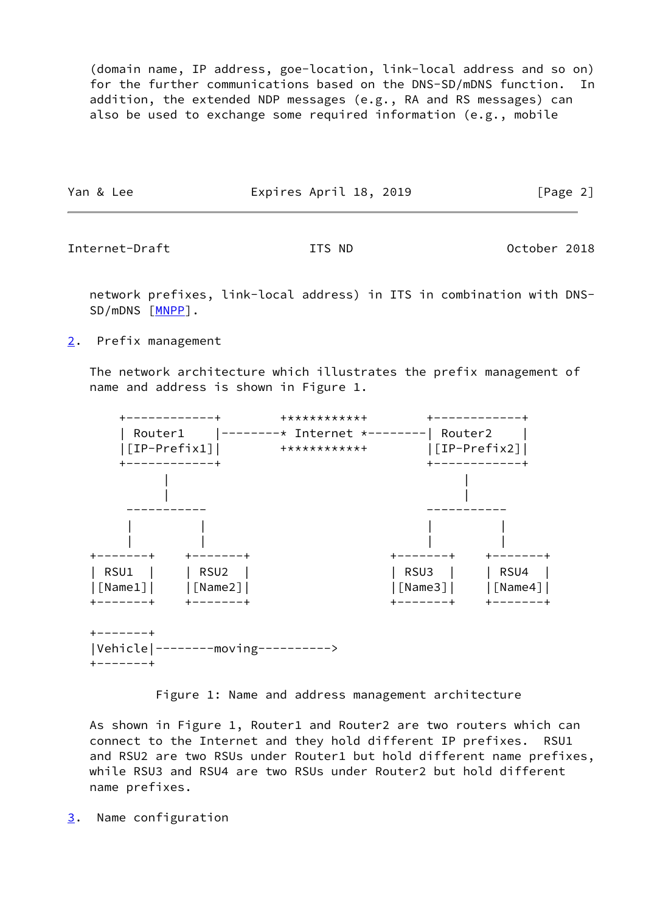(domain name, IP address, goe-location, link-local address and so on) for the further communications based on the DNS-SD/mDNS function. In addition, the extended NDP messages (e.g., RA and RS messages) can also be used to exchange some required information (e.g., mobile

| Yan & Lee | Expires April 18, 2019 | [Page 2] |
|-----------|------------------------|----------|
|           |                        |          |

<span id="page-2-1"></span>Internet-Draft ITS ND October 2018

 network prefixes, link-local address) in ITS in combination with DNS- SD/mDNS [\[MNPP](#page-6-3)].

<span id="page-2-0"></span>[2](#page-2-0). Prefix management

 The network architecture which illustrates the prefix management of name and address is shown in Figure 1.



Figure 1: Name and address management architecture

 As shown in Figure 1, Router1 and Router2 are two routers which can connect to the Internet and they hold different IP prefixes. RSU1 and RSU2 are two RSUs under Router1 but hold different name prefixes, while RSU3 and RSU4 are two RSUs under Router2 but hold different name prefixes.

<span id="page-2-2"></span>[3](#page-2-2). Name configuration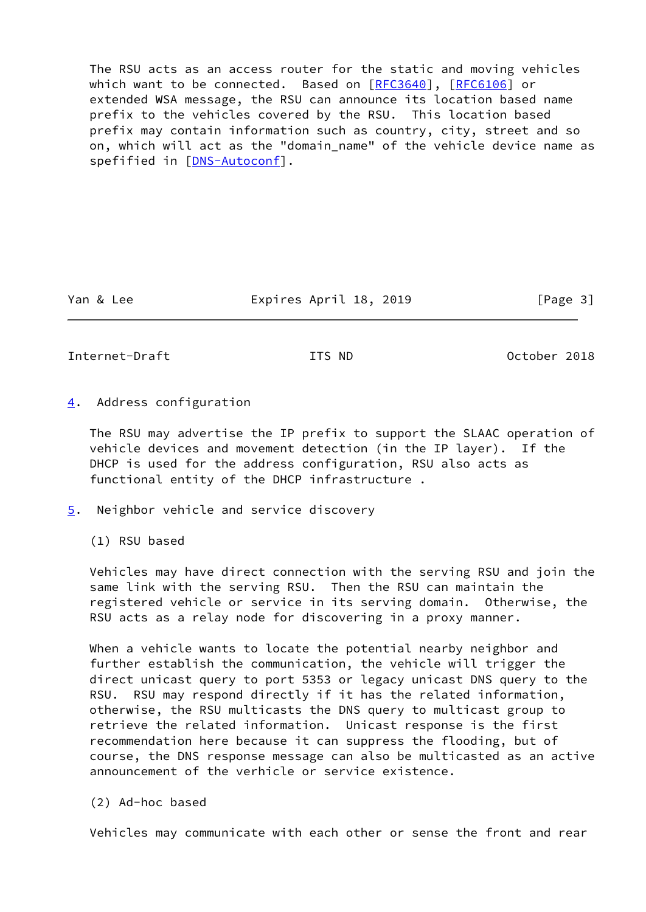The RSU acts as an access router for the static and moving vehicles which want to be connected. Based on [[RFC3640](https://datatracker.ietf.org/doc/pdf/rfc3640)], [\[RFC6106](https://datatracker.ietf.org/doc/pdf/rfc6106)] or extended WSA message, the RSU can announce its location based name prefix to the vehicles covered by the RSU. This location based prefix may contain information such as country, city, street and so on, which will act as the "domain\_name" of the vehicle device name as spefified in [\[DNS-Autoconf](#page-6-2)].

Yan & Lee **Expires April 18, 2019** [Page 3]

<span id="page-3-1"></span>Internet-Draft ITS ND October 2018

<span id="page-3-0"></span>[4](#page-3-0). Address configuration

 The RSU may advertise the IP prefix to support the SLAAC operation of vehicle devices and movement detection (in the IP layer). If the DHCP is used for the address configuration, RSU also acts as functional entity of the DHCP infrastructure .

<span id="page-3-2"></span>[5](#page-3-2). Neighbor vehicle and service discovery

(1) RSU based

 Vehicles may have direct connection with the serving RSU and join the same link with the serving RSU. Then the RSU can maintain the registered vehicle or service in its serving domain. Otherwise, the RSU acts as a relay node for discovering in a proxy manner.

 When a vehicle wants to locate the potential nearby neighbor and further establish the communication, the vehicle will trigger the direct unicast query to port 5353 or legacy unicast DNS query to the RSU. RSU may respond directly if it has the related information, otherwise, the RSU multicasts the DNS query to multicast group to retrieve the related information. Unicast response is the first recommendation here because it can suppress the flooding, but of course, the DNS response message can also be multicasted as an active announcement of the verhicle or service existence.

(2) Ad-hoc based

Vehicles may communicate with each other or sense the front and rear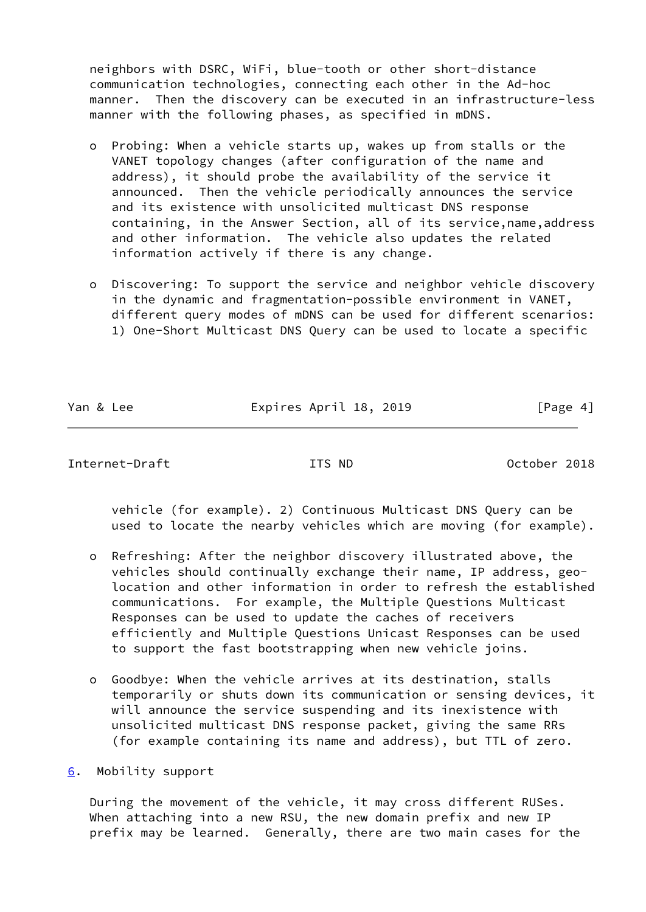neighbors with DSRC, WiFi, blue-tooth or other short-distance communication technologies, connecting each other in the Ad-hoc manner. Then the discovery can be executed in an infrastructure-less manner with the following phases, as specified in mDNS.

- o Probing: When a vehicle starts up, wakes up from stalls or the VANET topology changes (after configuration of the name and address), it should probe the availability of the service it announced. Then the vehicle periodically announces the service and its existence with unsolicited multicast DNS response containing, in the Answer Section, all of its service,name,address and other information. The vehicle also updates the related information actively if there is any change.
- o Discovering: To support the service and neighbor vehicle discovery in the dynamic and fragmentation-possible environment in VANET, different query modes of mDNS can be used for different scenarios: 1) One-Short Multicast DNS Query can be used to locate a specific

Yan & Lee **Expires April 18, 2019** [Page 4]

<span id="page-4-1"></span>Internet-Draft ITS ND October 2018

 vehicle (for example). 2) Continuous Multicast DNS Query can be used to locate the nearby vehicles which are moving (for example).

- o Refreshing: After the neighbor discovery illustrated above, the vehicles should continually exchange their name, IP address, geo location and other information in order to refresh the established communications. For example, the Multiple Questions Multicast Responses can be used to update the caches of receivers efficiently and Multiple Questions Unicast Responses can be used to support the fast bootstrapping when new vehicle joins.
- o Goodbye: When the vehicle arrives at its destination, stalls temporarily or shuts down its communication or sensing devices, it will announce the service suspending and its inexistence with unsolicited multicast DNS response packet, giving the same RRs (for example containing its name and address), but TTL of zero.

<span id="page-4-0"></span>[6](#page-4-0). Mobility support

 During the movement of the vehicle, it may cross different RUSes. When attaching into a new RSU, the new domain prefix and new IP prefix may be learned. Generally, there are two main cases for the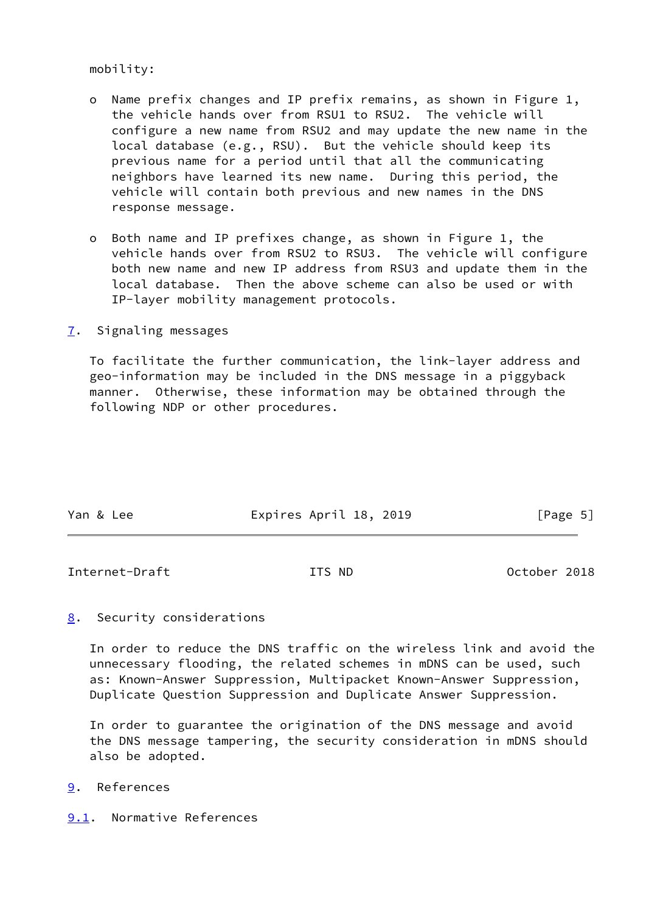mobility:

- o Name prefix changes and IP prefix remains, as shown in Figure 1, the vehicle hands over from RSU1 to RSU2. The vehicle will configure a new name from RSU2 and may update the new name in the local database (e.g., RSU). But the vehicle should keep its previous name for a period until that all the communicating neighbors have learned its new name. During this period, the vehicle will contain both previous and new names in the DNS response message.
- o Both name and IP prefixes change, as shown in Figure 1, the vehicle hands over from RSU2 to RSU3. The vehicle will configure both new name and new IP address from RSU3 and update them in the local database. Then the above scheme can also be used or with IP-layer mobility management protocols.
- <span id="page-5-0"></span>[7](#page-5-0). Signaling messages

 To facilitate the further communication, the link-layer address and geo-information may be included in the DNS message in a piggyback manner. Otherwise, these information may be obtained through the following NDP or other procedures.

| Expires April 18, 2019<br>[Page 5]<br>Yan & Lee |  |
|-------------------------------------------------|--|
|-------------------------------------------------|--|

<span id="page-5-2"></span>Internet-Draft ITS ND October 2018

<span id="page-5-1"></span>[8](#page-5-1). Security considerations

 In order to reduce the DNS traffic on the wireless link and avoid the unnecessary flooding, the related schemes in mDNS can be used, such as: Known-Answer Suppression, Multipacket Known-Answer Suppression, Duplicate Question Suppression and Duplicate Answer Suppression.

 In order to guarantee the origination of the DNS message and avoid the DNS message tampering, the security consideration in mDNS should also be adopted.

- <span id="page-5-3"></span>[9](#page-5-3). References
- <span id="page-5-4"></span>[9.1](#page-5-4). Normative References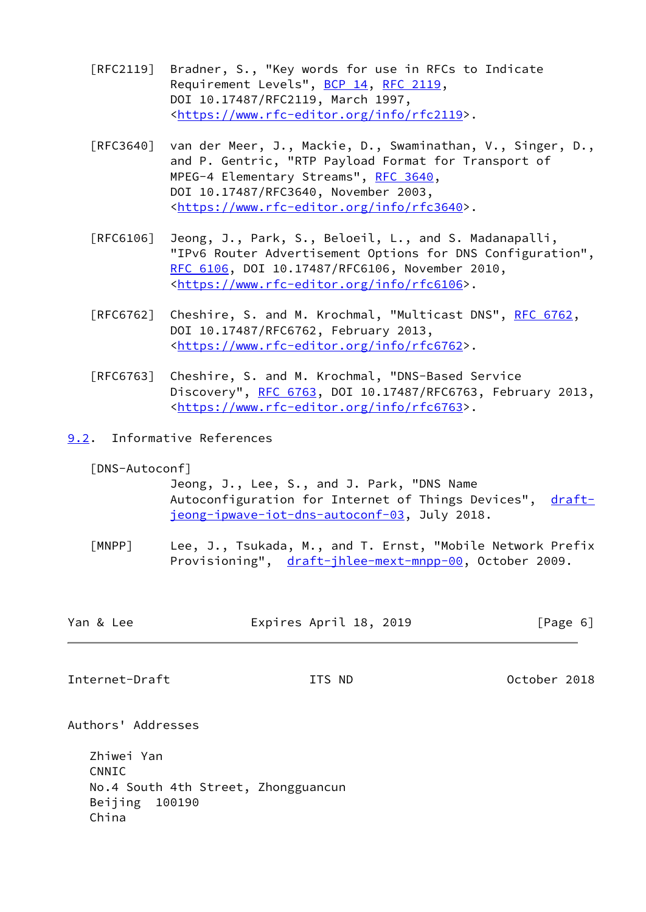- [RFC2119] Bradner, S., "Key words for use in RFCs to Indicate Requirement Levels", [BCP 14](https://datatracker.ietf.org/doc/pdf/bcp14), [RFC 2119](https://datatracker.ietf.org/doc/pdf/rfc2119), DOI 10.17487/RFC2119, March 1997, <[https://www.rfc-editor.org/info/rfc2119>](https://www.rfc-editor.org/info/rfc2119).
- [RFC3640] van der Meer, J., Mackie, D., Swaminathan, V., Singer, D., and P. Gentric, "RTP Payload Format for Transport of MPEG-4 Elementary Streams", [RFC 3640,](https://datatracker.ietf.org/doc/pdf/rfc3640) DOI 10.17487/RFC3640, November 2003, <[https://www.rfc-editor.org/info/rfc3640>](https://www.rfc-editor.org/info/rfc3640).
- [RFC6106] Jeong, J., Park, S., Beloeil, L., and S. Madanapalli, "IPv6 Router Advertisement Options for DNS Configuration", [RFC 6106,](https://datatracker.ietf.org/doc/pdf/rfc6106) DOI 10.17487/RFC6106, November 2010, <[https://www.rfc-editor.org/info/rfc6106>](https://www.rfc-editor.org/info/rfc6106).
- [RFC6762] Cheshire, S. and M. Krochmal, "Multicast DNS", [RFC 6762](https://datatracker.ietf.org/doc/pdf/rfc6762), DOI 10.17487/RFC6762, February 2013, <[https://www.rfc-editor.org/info/rfc6762>](https://www.rfc-editor.org/info/rfc6762).
- [RFC6763] Cheshire, S. and M. Krochmal, "DNS-Based Service Discovery", [RFC 6763,](https://datatracker.ietf.org/doc/pdf/rfc6763) DOI 10.17487/RFC6763, February 2013, <[https://www.rfc-editor.org/info/rfc6763>](https://www.rfc-editor.org/info/rfc6763).
- <span id="page-6-0"></span>[9.2](#page-6-0). Informative References

<span id="page-6-2"></span>[DNS-Autoconf]

 Jeong, J., Lee, S., and J. Park, "DNS Name Autoconfiguration for Internet of Things Devices", [draft](https://datatracker.ietf.org/doc/pdf/draft-jeong-ipwave-iot-dns-autoconf-03) [jeong-ipwave-iot-dns-autoconf-03,](https://datatracker.ietf.org/doc/pdf/draft-jeong-ipwave-iot-dns-autoconf-03) July 2018.

<span id="page-6-3"></span>[MNPP] Lee, J., Tsukada, M., and T. Ernst, "Mobile Network Prefix Provisioning", [draft-jhlee-mext-mnpp-00,](https://datatracker.ietf.org/doc/pdf/draft-jhlee-mext-mnpp-00) October 2009.

<span id="page-6-1"></span>

| Yan & Lee      | Expires April 18, 2019 | [Page 6]     |
|----------------|------------------------|--------------|
|                |                        |              |
| Internet-Draft | ITS ND                 | October 2018 |

Authors' Addresses

 Zhiwei Yan CNNIC No.4 South 4th Street, Zhongguancun Beijing 100190 China